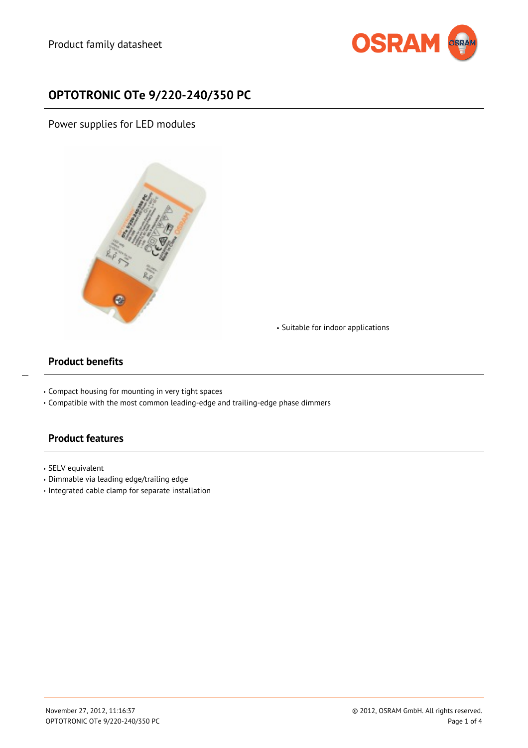

# **OPTOTRONIC OTe 9/220-240/350 PC**

Power supplies for LED modules



Suitable for indoor applications

### **Product benefits**

 $\overline{a}$ 

- Compact housing for mounting in very tight spaces
- Compatible with the most common leading-edge and trailing-edge phase dimmers

### **Product features**

- SELV equivalent
- Dimmable via leading edge/trailing edge
- $\cdot$  Integrated cable clamp for separate installation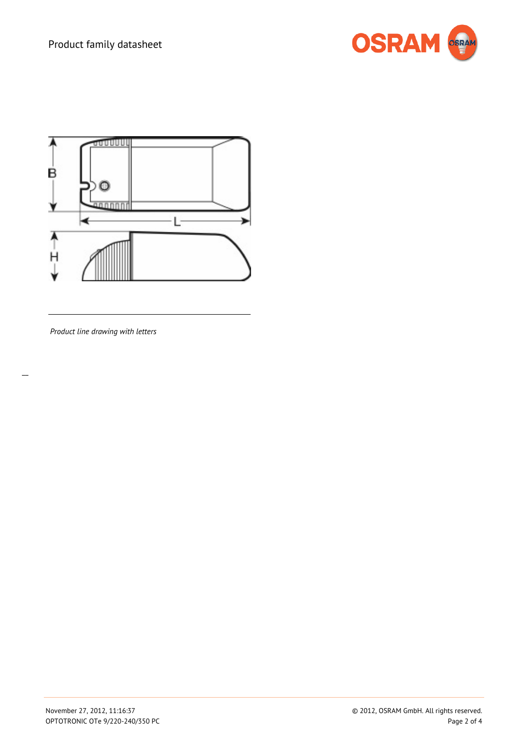



*Product line drawing with letters*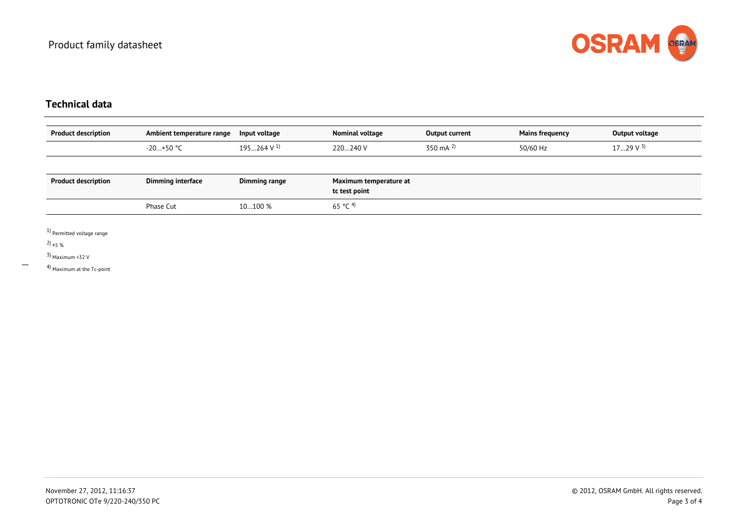

## **Technical data**

| <b>Product description</b> | Ambient temperature range | Input voltage            | Nominal voltage                         | Output current | <b>Mains frequency</b> | Output voltage  |
|----------------------------|---------------------------|--------------------------|-----------------------------------------|----------------|------------------------|-----------------|
|                            | $-20+50$ °C               | $195264$ V <sup>1)</sup> | 220240 V                                | 350 mA $^{2}$  | 50/60 Hz               | $1729$ V $^{3}$ |
|                            |                           |                          |                                         |                |                        |                 |
| <b>Product description</b> | Dimming interface         | Dimming range            | Maximum temperature at<br>tc test point |                |                        |                 |
|                            | Phase Cut                 | 10100 %                  | 65 °C <sup>4)</sup>                     |                |                        |                 |

1) Permitted voltage range

2)  $\pm$ 5 %

3) <sub>Maximum <32</sub> V

4) Maximum at the Tc-point